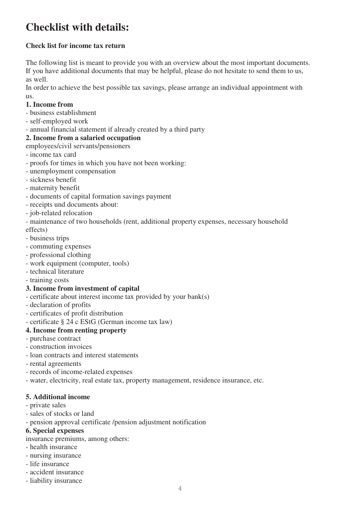# **Checklist with details:**

## **Check list for income tax return**

The following list is meant to provide you with an overview about the most important documents. If you have additional documents that may be helpful, please do not hesitate to send them to us, as well.

In order to achieve the best possible tax savings, please arrange an individual appointment with us.

#### **1. Income from**

- business establishment
- self-employed work

- annual financial statement if already created by a third party

## **2. Income from a salaried occupation**

- employees/civil servants/pensioners
- income tax card
- proofs for times in which you have not been working:
- unemployment compensation
- sickness benefit
- maternity benefit
- documents of capital formation savings payment
- receipts und documents about:
- job-related relocation
- maintenance of two households (rent, additional property expenses, necessary household effects)
- business trips
- commuting expenses
- professional clothing
- work equipment (computer, tools)
- technical literature
- training costs

#### **3. Income from investment of capital**

- certificate about interest income tax provided by your bank(s)
- declaration of profits
- certificates of profit distribution
- certificate § 24 c EStG (German income tax law)

## **4. Income from renting property**

- purchase contract
- construction invoices
- loan contracts and interest statements
- rental agreements
- records of income-related expenses
- water, electricity, real estate tax, property management, residence insurance, etc.

#### **5. Additional income**

- private sales
- sales of stocks or land
- pension approval certificate /pension adjustment notification

#### **6. Special expenses**

insurance premiums, among others:

- health insurance
- nursing insurance
- life insurance
- accident insurance
- liability insurance